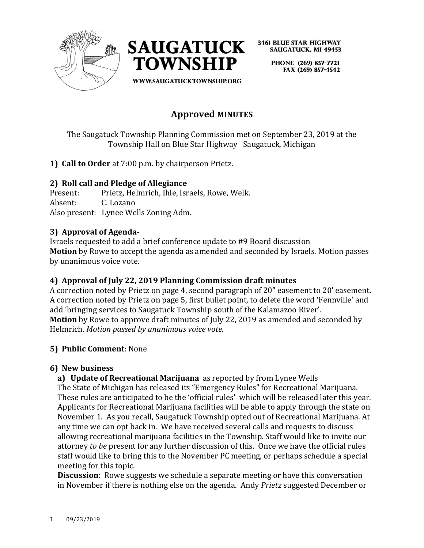



> PHONE (269) 857-7721 FAX (269) 857-4542

WWW.SAUGATUCKTOWNSHIP.ORG

# **Approved MINUTES**

The Saugatuck Township Planning Commission met on September 23, 2019 at the Township Hall on Blue Star Highway Saugatuck, Michigan

**1) Call to Order** at 7:00 p.m. by chairperson Prietz.

## **2) Roll call and Pledge of Allegiance**

Present: Prietz, Helmrich, Ihle, Israels, Rowe, Welk. Absent: C. Lozano Also present: Lynee Wells Zoning Adm.

# **3) Approval of Agenda-**

Israels requested to add a brief conference update to #9 Board discussion **Motion** by Rowe to accept the agenda as amended and seconded by Israels. Motion passes by unanimous voice vote.

# **4) Approval of July 22, 2019 Planning Commission draft minutes**

A correction noted by Prietz on page 4, second paragraph of 20" easement to 20' easement. A correction noted by Prietz on page 5, first bullet point, to delete the word 'Fennville' and add 'bringing services to Saugatuck Township south of the Kalamazoo River'. **Motion** by Rowe to approve draft minutes of July 22, 2019 as amended and seconded by Helmrich. *Motion passed by unanimous voice vote.*

#### **5) Public Comment**: None

#### **6) New business**

**a) Update of Recreational Marijuana** as reported by from Lynee Wells

The State of Michigan has released its "Emergency Rules" for Recreational Marijuana. These rules are anticipated to be the 'official rules' which will be released later this year. Applicants for Recreational Marijuana facilities will be able to apply through the state on November 1. As you recall, Saugatuck Township opted out of Recreational Marijuana. At any time we can opt back in. We have received several calls and requests to discuss allowing recreational marijuana facilities in the Township. Staff would like to invite our attorney *to be* present for any further discussion of this. Once we have the official rules staff would like to bring this to the November PC meeting, or perhaps schedule a special meeting for this topic.

**Discussion**: Rowe suggests we schedule a separate meeting or have this conversation in November if there is nothing else on the agenda. Andy *Prietz* suggested December or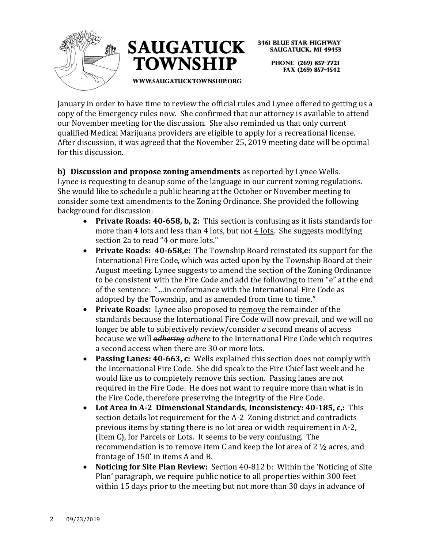



**3461 BLUE STAR HIGHWAY SAUGATUCK, MI 49453** PHONE (269) 857-7721 FAX (269) 857-4542

**WWW.SAUGATUCKTOWNSHIP.ORG** 

January in order to have time to review the official rules and Lynee offered to getting us a copy of the Emergency rules now. She confirmed that our attorney is available to attend our November meeting for the discussion. She also reminded us that only current qualified Medical Marijuana providers are eligible to apply for a recreational license. After discussion, it was agreed that the November 25, 2019 meeting date will be optimal for this discussion.

**b) Discussion and propose zoning amendments** as reported by Lynee Wells. Lynee is requesting to cleanup some of the language in our current zoning regulations. She would like to schedule a public hearing at the October or November meeting to consider some text amendments to the Zoning Ordinance. She provided the following background for discussion:

- **Private Roads: 40-658, b, 2:** This section is confusing as it lists standards for more than 4 lots and less than 4 lots, but not 4 lots. She suggests modifying section 2a to read "4 or more lots."
- **Private Roads: 40-658,e:** The Township Board reinstated its support for the International Fire Code, which was acted upon by the Township Board at their August meeting. Lynee suggests to amend the section of the Zoning Ordinance to be consistent with the Fire Code and add the following to item "e" at the end of the sentence: "…in conformance with the International Fire Code as adopted by the Township, and as amended from time to time."
- **Private Roads:** Lynee also proposed to remove the remainder of the standards because the International Fire Code will now prevail, and we will no longer be able to subjectively review/consider *a* second means of access because we will *adhering adhere* to the International Fire Code which requires a second access when there are 30 or more lots.
- **Passing Lanes: 40-663, c:** Wells explained this section does not comply with the International Fire Code. She did speak to the Fire Chief last week and he would like us to completely remove this section. Passing lanes are not required in the Fire Code. He does not want to require more than what is in the Fire Code, therefore preserving the integrity of the Fire Code.
- **Lot Area in A-2 Dimensional Standards, Inconsistency: 40-185, c,:** This section details lot requirement for the A-2 Zoning district and contradicts previous items by stating there is no lot area or width requirement in A-2, (item C), for Parcels or Lots. It seems to be very confusing. The recommendation is to remove item C and keep the lot area of 2 ½ acres, and frontage of 150' in items A and B.
- **Noticing for Site Plan Review:** Section 40-812 b: Within the 'Noticing of Site Plan' paragraph, we require public notice to all properties within 300 feet within 15 days prior to the meeting but not more than 30 days in advance of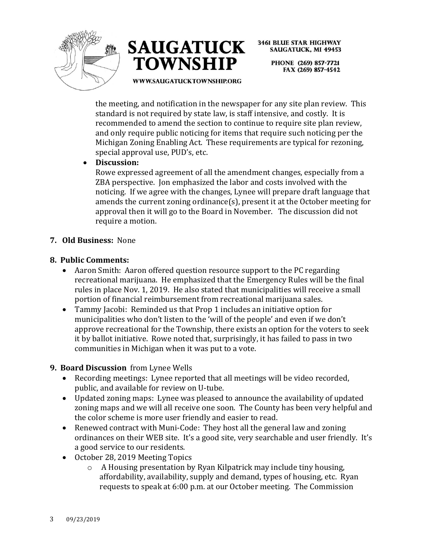



**3461 BLUE STAR HIGHWAY SAUGATUCK, MI 49453** PHONE (269) 857-7721

FAX (269) 857-4542

WWW.SAUGATUCKTOWNSHIP.ORG

the meeting, and notification in the newspaper for any site plan review. This standard is not required by state law, is staff intensive, and costly. It is recommended to amend the section to continue to require site plan review, and only require public noticing for items that require such noticing per the Michigan Zoning Enabling Act. These requirements are typical for rezoning, special approval use, PUD's, etc.

• **Discussion:** 

Rowe expressed agreement of all the amendment changes, especially from a ZBA perspective. Jon emphasized the labor and costs involved with the noticing. If we agree with the changes, Lynee will prepare draft language that amends the current zoning ordinance(s), present it at the October meeting for approval then it will go to the Board in November. The discussion did not require a motion.

## **7. Old Business:** None

## **8. Public Comments:**

- Aaron Smith: Aaron offered question resource support to the PC regarding recreational marijuana. He emphasized that the Emergency Rules will be the final rules in place Nov. 1, 2019. He also stated that municipalities will receive a small portion of financial reimbursement from recreational marijuana sales.
- Tammy Jacobi: Reminded us that Prop 1 includes an initiative option for municipalities who don't listen to the 'will of the people' and even if we don't approve recreational for the Township, there exists an option for the voters to seek it by ballot initiative. Rowe noted that, surprisingly, it has failed to pass in two communities in Michigan when it was put to a vote.

#### **9. Board Discussion** from Lynee Wells

- Recording meetings: Lynee reported that all meetings will be video recorded, public, and available for review on U-tube.
- Updated zoning maps: Lynee was pleased to announce the availability of updated zoning maps and we will all receive one soon. The County has been very helpful and the color scheme is more user friendly and easier to read.
- Renewed contract with Muni-Code: They host all the general law and zoning ordinances on their WEB site. It's a good site, very searchable and user friendly. It's a good service to our residents.
- October 28, 2019 Meeting Topics
	- o A Housing presentation by Ryan Kilpatrick may include tiny housing, affordability, availability, supply and demand, types of housing, etc. Ryan requests to speak at 6:00 p.m. at our October meeting. The Commission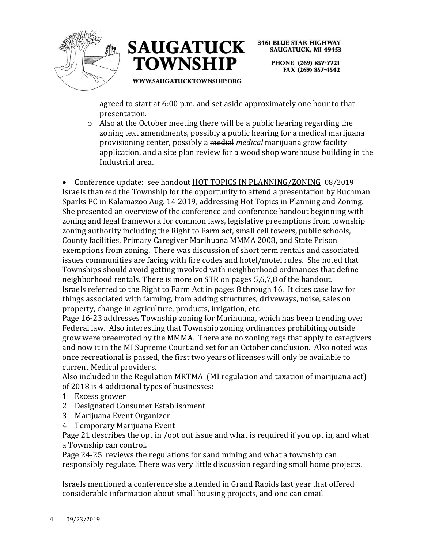



> PHONE (269) 857-7721 FAX (269) 857-4542

**WWW.SAUGATUCKTOWNSHIP.ORG** 

agreed to start at 6:00 p.m. and set aside approximately one hour to that presentation.

o Also at the October meeting there will be a public hearing regarding the zoning text amendments, possibly a public hearing for a medical marijuana provisioning center, possibly a medial *medical* marijuana grow facility application, and a site plan review for a wood shop warehouse building in the Industrial area.

• Conference update: see handout HOT TOPICS IN PLANNING/ZONING 08/2019 Israels thanked the Township for the opportunity to attend a presentation by Buchman Sparks PC in Kalamazoo Aug. 14 2019, addressing Hot Topics in Planning and Zoning. She presented an overview of the conference and conference handout beginning with zoning and legal framework for common laws, legislative preemptions from township zoning authority including the Right to Farm act, small cell towers, public schools, County facilities, Primary Caregiver Marihuana MMMA 2008, and State Prison exemptions from zoning. There was discussion of short term rentals and associated issues communities are facing with fire codes and hotel/motel rules. She noted that Townships should avoid getting involved with neighborhood ordinances that define neighborhood rentals. There is more on STR on pages 5,6,7,8 of the handout. Israels referred to the Right to Farm Act in pages 8 through 16. It cites case law for things associated with farming, from adding structures, driveways, noise, sales on property, change in agriculture, products, irrigation, etc.

Page 16-23 addresses Township zoning for Marihuana, which has been trending over Federal law. Also interesting that Township zoning ordinances prohibiting outside grow were preempted by the MMMA. There are no zoning regs that apply to caregivers and now it in the MI Supreme Court and set for an October conclusion. Also noted was once recreational is passed, the first two years of licenses will only be available to current Medical providers.

Also included in the Regulation MRTMA (MI regulation and taxation of marijuana act) of 2018 is 4 additional types of businesses:

- 1 Excess grower
- 2 Designated Consumer Establishment
- 3 Marijuana Event Organizer
- 4 Temporary Marijuana Event

Page 21 describes the opt in /opt out issue and what is required if you opt in, and what a Township can control.

Page 24-25 reviews the regulations for sand mining and what a township can responsibly regulate. There was very little discussion regarding small home projects.

Israels mentioned a conference she attended in Grand Rapids last year that offered considerable information about small housing projects, and one can email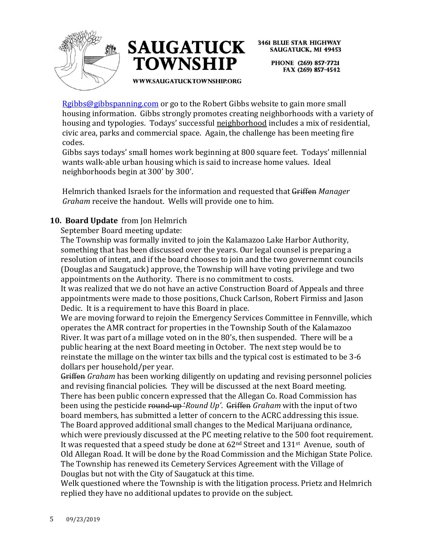



> PHONE (269) 857-7721 FAX (269) 857-4542

WWW.SAUGATUCKTOWNSHIP.ORG

[Rgibbs@gibbspanning.com](mailto:Rgibbs@gibbspanning.com) or go to the Robert Gibbs website to gain more small housing information. Gibbs strongly promotes creating neighborhoods with a variety of housing and typologies. Todays' successful neighborhood includes a mix of residential, civic area, parks and commercial space. Again, the challenge has been meeting fire codes.

Gibbs says todays' small homes work beginning at 800 square feet. Todays' millennial wants walk-able urban housing which is said to increase home values. Ideal neighborhoods begin at 300' by 300'.

Helmrich thanked Israels for the information and requested that Griffen *Manager Graham* receive the handout. Wells will provide one to him.

# **10. Board Update** from Jon Helmrich

September Board meeting update:

The Township was formally invited to join the Kalamazoo Lake Harbor Authority, something that has been discussed over the years. Our legal counsel is preparing a resolution of intent, and if the board chooses to join and the two governemnt councils (Douglas and Saugatuck) approve, the Township will have voting privilege and two appointments on the Authority. There is no commitment to costs.

It was realized that we do not have an active Construction Board of Appeals and three appointments were made to those positions, Chuck Carlson, Robert Firmiss and Jason Dedic. It is a requirement to have this Board in place.

We are moving forward to rejoin the Emergency Services Committee in Fennville, which operates the AMR contract for properties in the Township South of the Kalamazoo River. It was part of a millage voted on in the 80's, then suspended. There will be a public hearing at the next Board meeting in October. The next step would be to reinstate the millage on the winter tax bills and the typical cost is estimated to be 3-6 dollars per household/per year.

Griffen *Graham* has been working diligently on updating and revising personnel policies and revising financial policies. They will be discussed at the next Board meeting. There has been public concern expressed that the Allegan Co. Road Commission has been using the pesticide round-up '*Round Up'*. Griffen *Graham* with the input of two board members, has submitted a letter of concern to the ACRC addressing this issue. The Board approved additional small changes to the Medical Marijuana ordinance, which were previously discussed at the PC meeting relative to the 500 foot requirement. It was requested that a speed study be done at  $62<sup>nd</sup>$  Street and  $131<sup>st</sup>$  Avenue, south of Old Allegan Road. It will be done by the Road Commission and the Michigan State Police. The Township has renewed its Cemetery Services Agreement with the Village of Douglas but not with the City of Saugatuck at this time.

Welk questioned where the Township is with the litigation process. Prietz and Helmrich replied they have no additional updates to provide on the subject.